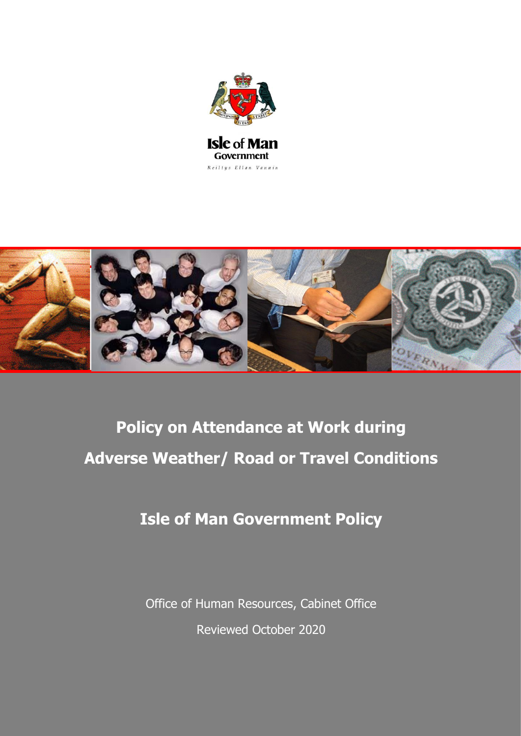



# **Policy on Attendance at Work during Adverse Weather/ Road or Travel Conditions**

## **Isle of Man Government Policy**

Office of Human Resources, Cabinet Office Reviewed October 2020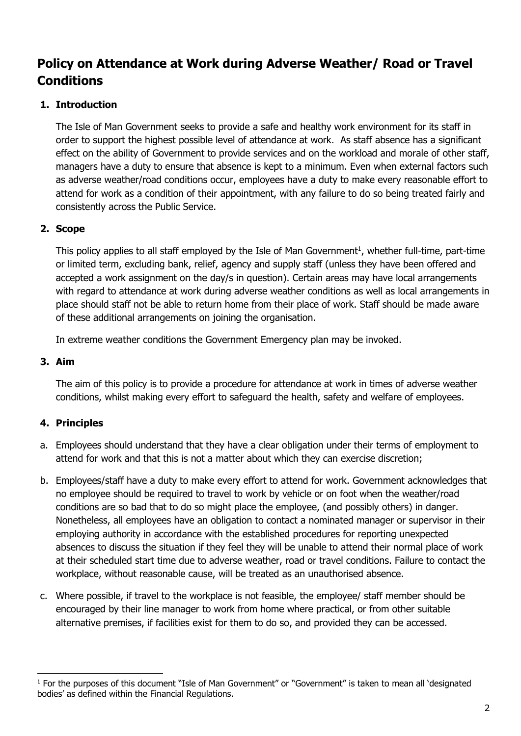### **Policy on Attendance at Work during Adverse Weather/ Road or Travel Conditions**

#### **1. Introduction**

The Isle of Man Government seeks to provide a safe and healthy work environment for its staff in order to support the highest possible level of attendance at work. As staff absence has a significant effect on the ability of Government to provide services and on the workload and morale of other staff, managers have a duty to ensure that absence is kept to a minimum. Even when external factors such as adverse weather/road conditions occur, employees have a duty to make every reasonable effort to attend for work as a condition of their appointment, with any failure to do so being treated fairly and consistently across the Public Service.

#### **2. Scope**

This policy applies to all staff employed by the Isle of Man Government<sup>1</sup>, whether full-time, part-time or limited term, excluding bank, relief, agency and supply staff (unless they have been offered and accepted a work assignment on the day/s in question). Certain areas may have local arrangements with regard to attendance at work during adverse weather conditions as well as local arrangements in place should staff not be able to return home from their place of work. Staff should be made aware of these additional arrangements on joining the organisation.

In extreme weather conditions the Government Emergency plan may be invoked.

#### **3. Aim**

1

The aim of this policy is to provide a procedure for attendance at work in times of adverse weather conditions, whilst making every effort to safeguard the health, safety and welfare of employees.

#### **4. Principles**

- a. Employees should understand that they have a clear obligation under their terms of employment to attend for work and that this is not a matter about which they can exercise discretion;
- b. Employees/staff have a duty to make every effort to attend for work. Government acknowledges that no employee should be required to travel to work by vehicle or on foot when the weather/road conditions are so bad that to do so might place the employee, (and possibly others) in danger. Nonetheless, all employees have an obligation to contact a nominated manager or supervisor in their employing authority in accordance with the established procedures for reporting unexpected absences to discuss the situation if they feel they will be unable to attend their normal place of work at their scheduled start time due to adverse weather, road or travel conditions. Failure to contact the workplace, without reasonable cause, will be treated as an unauthorised absence.
- c. Where possible, if travel to the workplace is not feasible, the employee/ staff member should be encouraged by their line manager to work from home where practical, or from other suitable alternative premises, if facilities exist for them to do so, and provided they can be accessed.

<sup>&</sup>lt;sup>1</sup> For the purposes of this document "Isle of Man Government" or "Government" is taken to mean all 'designated bodies' as defined within the Financial Regulations.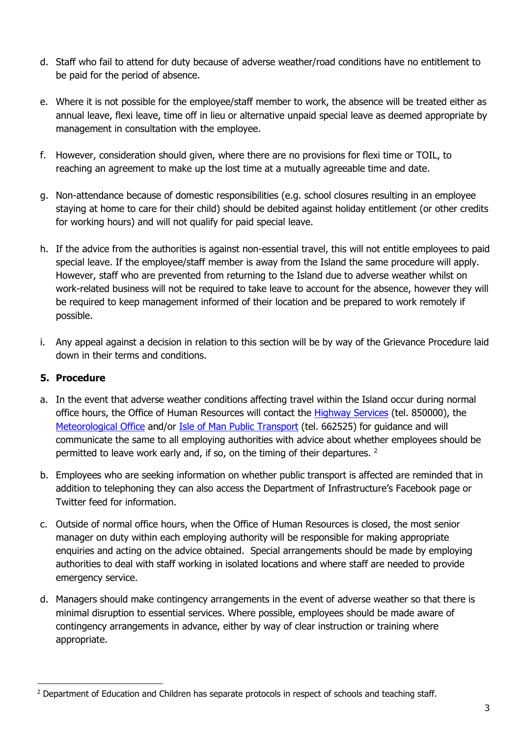- d. Staff who fail to attend for duty because of adverse weather/road conditions have no entitlement to be paid for the period of absence.
- e. Where it is not possible for the employee/staff member to work, the absence will be treated either as annual leave, flexi leave, time off in lieu or alternative unpaid special leave as deemed appropriate by management in consultation with the employee.
- f. However, consideration should given, where there are no provisions for flexi time or TOIL, to reaching an agreement to make up the lost time at a mutually agreeable time and date.
- g. Non-attendance because of domestic responsibilities (e.g. school closures resulting in an employee staying at home to care for their child) should be debited against holiday entitlement (or other credits for working hours) and will not qualify for paid special leave.
- h. If the advice from the authorities is against non-essential travel, this will not entitle employees to paid special leave. If the employee/staff member is away from the Island the same procedure will apply. However, staff who are prevented from returning to the Island due to adverse weather whilst on work-related business will not be required to take leave to account for the absence, however they will be required to keep management informed of their location and be prepared to work remotely if possible.
- i. Any appeal against a decision in relation to this section will be by way of the Grievance Procedure laid down in their terms and conditions.

#### **5. Procedure**

1

- a. In the event that adverse weather conditions affecting travel within the Island occur during normal office hours, the Office of Human Resources will contact the [Highway Services](https://www.gov.im/highways/) (tel. 850000), the [Meteorological Office](https://www.gov.im/weather/) and/or [Isle of Man Public Transport](https://www.gov.im/categories/travel-traffic-and-motoring/bus-and-rail) (tel. 662525) for guidance and will communicate the same to all employing authorities with advice about whether employees should be permitted to leave work early and, if so, on the timing of their departures. <sup>2</sup>
- b. Employees who are seeking information on whether public transport is affected are reminded that in addition to telephoning they can also access the Department of Infrastructure's Facebook page or Twitter feed for information.
- c. Outside of normal office hours, when the Office of Human Resources is closed, the most senior manager on duty within each employing authority will be responsible for making appropriate enquiries and acting on the advice obtained. Special arrangements should be made by employing authorities to deal with staff working in isolated locations and where staff are needed to provide emergency service.
- d. Managers should make contingency arrangements in the event of adverse weather so that there is minimal disruption to essential services. Where possible, employees should be made aware of contingency arrangements in advance, either by way of clear instruction or training where appropriate.

<sup>&</sup>lt;sup>2</sup> Department of Education and Children has separate protocols in respect of schools and teaching staff.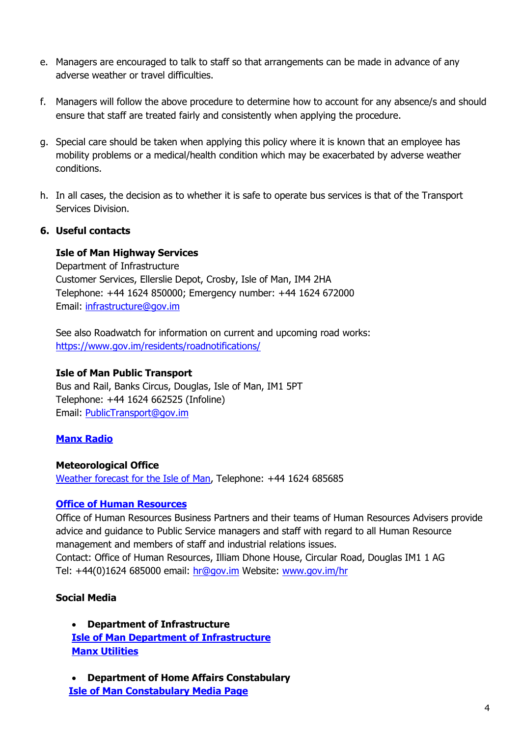- e. Managers are encouraged to talk to staff so that arrangements can be made in advance of any adverse weather or travel difficulties.
- f. Managers will follow the above procedure to determine how to account for any absence/s and should ensure that staff are treated fairly and consistently when applying the procedure.
- g. Special care should be taken when applying this policy where it is known that an employee has mobility problems or a medical/health condition which may be exacerbated by adverse weather conditions.
- h. In all cases, the decision as to whether it is safe to operate bus services is that of the Transport Services Division.

#### **6. Useful contacts**

#### **Isle of Man Highway Services**

Department of Infrastructure Customer Services, Ellerslie Depot, Crosby, Isle of Man, IM4 2HA Telephone: +44 1624 850000; Emergency number: +44 1624 672000 Email: [infrastructure@gov.im](mailto:infrastructure@gov.im)

See also Roadwatch for information on current and upcoming road works: <https://www.gov.im/residents/roadnotifications/>

#### **Isle of Man Public Transport**

Bus and Rail, Banks Circus, Douglas, Isle of Man, IM1 5PT Telephone: +44 1624 662525 (Infoline) Email: [PublicTransport@gov.im](mailto:PublicTransport@gov.im)

#### **Manx [Radio](http://www.manxradio.com/)**

#### **Meteorological Office**

[Weather forecast for the Isle of Man,](https://www.gov.im/weather) Telephone: +44 1624 685685

#### **[Office of Human Resources](https://www.gov.im/hr/howtofindus.xml)**

Office of Human Resources Business Partners and their teams of Human Resources Advisers provide advice and guidance to Public Service managers and staff with regard to all Human Resource management and members of staff and industrial relations issues. Contact: Office of Human Resources, Illiam Dhone House, Circular Road, Douglas IM1 1 AG Tel: +44(0)1624 685000 email: [hr@gov.im](mailto:hr@gov.im) Website: [www.gov.im/hr](http://www.gov.im/hr)

#### **Social Media**

 **Department of Infrastructure [Isle of Man Department of Infrastructure](https://www.gov.im/about-the-government/departments/infrastructure/) [Manx Utilities](https://www.manxutilities.im/)**

 **Department of Home Affairs Constabulary [Isle of Man Constabulary Media Page](https://www.facebook.com/IOMpolicemedia/)**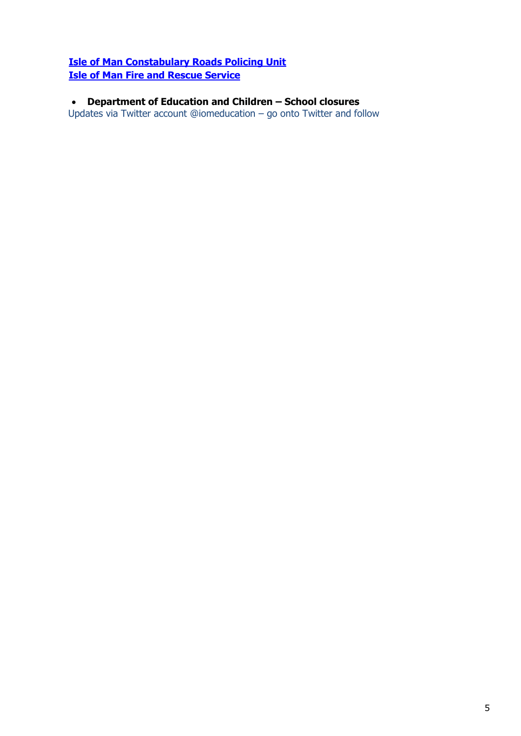#### **[Isle of Man Constabulary Roads Policing Unit](https://www.facebook.com/iomrpu/) [Isle of Man Fire and Rescue Service](https://www.gov.im/categories/home-and-neighbourhood/emergency-services/fire-and-rescue-service/)**

 **Department of Education and Children – School closures** Updates via Twitter account @iomeducation – go onto Twitter and follow